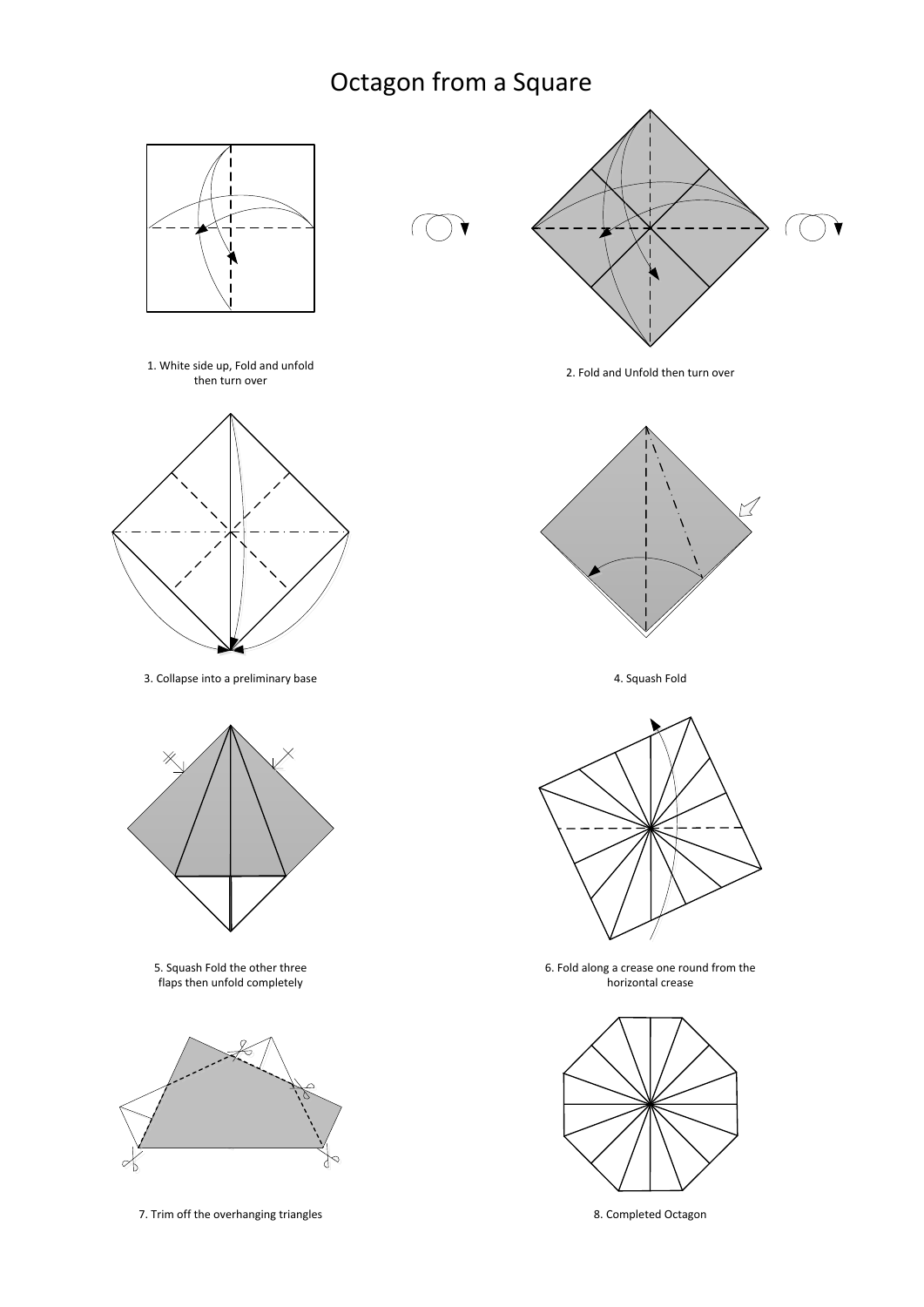## Octagon from a Square







3. Collapse into a preliminary base  $\overline{a}$  and  $\overline{a}$  and  $\overline{a}$  are  $\overline{a}$  and  $\overline{a}$  and  $\overline{a}$  are  $\overline{a}$  and  $\overline{a}$  are  $\overline{a}$  and  $\overline{a}$  are  $\overline{a}$  and  $\overline{a}$  are  $\overline{a}$  and  $\overline{a}$  are  $\overline$ 



5. Squash Fold the other three flaps then unfold completely



7. Trim off the overhanging triangles 8. Completed Octagon



2. Fold and Unfold then turn over





6. Fold along a crease one round from the horizontal crease